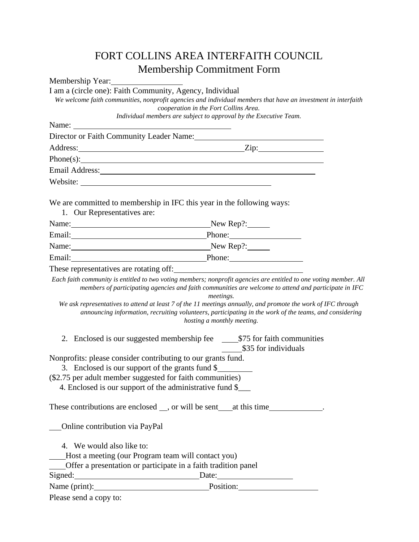## FORT COLLINS AREA INTERFAITH COUNCIL Membership Commitment Form Membership Year:

| I am a (circle one): Faith Community, Agency, Individual | We welcome faith communities, nonprofit agencies and individual members that have an investment in interfaith<br>cooperation in the Fort Collins Area.                                                                                                                                                                                                                    |
|----------------------------------------------------------|---------------------------------------------------------------------------------------------------------------------------------------------------------------------------------------------------------------------------------------------------------------------------------------------------------------------------------------------------------------------------|
|                                                          | Individual members are subject to approval by the Executive Team.                                                                                                                                                                                                                                                                                                         |
| Name:                                                    |                                                                                                                                                                                                                                                                                                                                                                           |
|                                                          | Director or Faith Community Leader Name: 1988                                                                                                                                                                                                                                                                                                                             |
|                                                          | Address: <u>Zip:</u> Zip:                                                                                                                                                                                                                                                                                                                                                 |
|                                                          |                                                                                                                                                                                                                                                                                                                                                                           |
|                                                          | Email Address: Note and Address and Address and Address and Address and Address and Address and Address and Address and Address and Address and Address and Address and Address and Address and Address and Address and Addres                                                                                                                                            |
|                                                          | Website:                                                                                                                                                                                                                                                                                                                                                                  |
| 1. Our Representatives are:                              | We are committed to membership in IFC this year in the following ways:                                                                                                                                                                                                                                                                                                    |
|                                                          | Name: New Rep?:                                                                                                                                                                                                                                                                                                                                                           |
|                                                          | Email: Phone: Phone:                                                                                                                                                                                                                                                                                                                                                      |
|                                                          | Name: New Rep?:                                                                                                                                                                                                                                                                                                                                                           |
|                                                          | Email: Phone: Phone:                                                                                                                                                                                                                                                                                                                                                      |
|                                                          | These representatives are rotating off:                                                                                                                                                                                                                                                                                                                                   |
|                                                          | members of participating agencies and faith communities are welcome to attend and participate in IFC<br>meetings.<br>We ask representatives to attend at least 7 of the 11 meetings annually, and promote the work of IFC through<br>announcing information, recruiting volunteers, participating in the work of the teams, and considering<br>hosting a monthly meeting. |
|                                                          | \$35 for individuals                                                                                                                                                                                                                                                                                                                                                      |
|                                                          | Nonprofits: please consider contributing to our grants fund.                                                                                                                                                                                                                                                                                                              |
|                                                          | 3. Enclosed is our support of the grants fund \$                                                                                                                                                                                                                                                                                                                          |
|                                                          | (\$2.75 per adult member suggested for faith communities)                                                                                                                                                                                                                                                                                                                 |
|                                                          | 4. Enclosed is our support of the administrative fund \$                                                                                                                                                                                                                                                                                                                  |
|                                                          | These contributions are enclosed __, or will be sent _____ at this time______________.                                                                                                                                                                                                                                                                                    |
| <b>Online contribution via PayPal</b>                    |                                                                                                                                                                                                                                                                                                                                                                           |
| 4. We would also like to:                                |                                                                                                                                                                                                                                                                                                                                                                           |
| Host a meeting (our Program team will contact you)       |                                                                                                                                                                                                                                                                                                                                                                           |
|                                                          | Offer a presentation or participate in a faith tradition panel                                                                                                                                                                                                                                                                                                            |
|                                                          | Signed: Date: Date:                                                                                                                                                                                                                                                                                                                                                       |
|                                                          | Name (print): Position: Position:                                                                                                                                                                                                                                                                                                                                         |
| Please send a copy to:                                   |                                                                                                                                                                                                                                                                                                                                                                           |